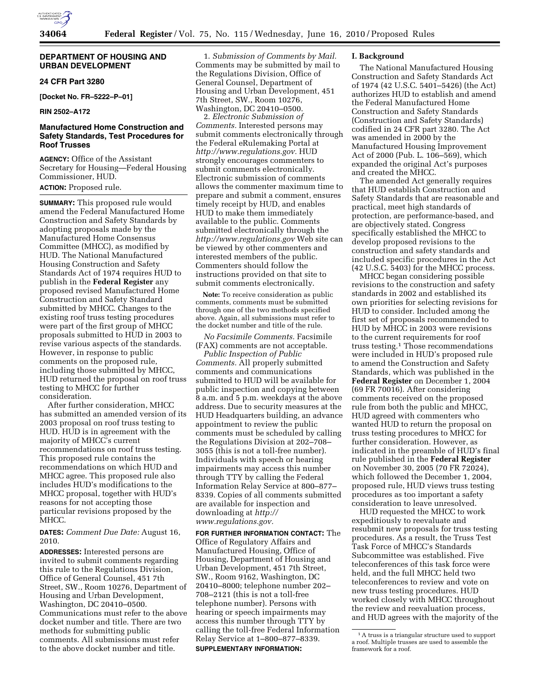

## **DEPARTMENT OF HOUSING AND URBAN DEVELOPMENT**

## **24 CFR Part 3280**

**[Docket No. FR–5222–P–01]** 

**RIN 2502–A172** 

# **Manufactured Home Construction and Safety Standards, Test Procedures for Roof Trusses**

**AGENCY:** Office of the Assistant Secretary for Housing—Federal Housing Commissioner, HUD.

# **ACTION:** Proposed rule.

**SUMMARY:** This proposed rule would amend the Federal Manufactured Home Construction and Safety Standards by adopting proposals made by the Manufactured Home Consensus Committee (MHCC), as modified by HUD. The National Manufactured Housing Construction and Safety Standards Act of 1974 requires HUD to publish in the **Federal Register** any proposed revised Manufactured Home Construction and Safety Standard submitted by MHCC. Changes to the existing roof truss testing procedures were part of the first group of MHCC proposals submitted to HUD in 2003 to revise various aspects of the standards. However, in response to public comments on the proposed rule, including those submitted by MHCC, HUD returned the proposal on roof truss testing to MHCC for further consideration.

After further consideration, MHCC has submitted an amended version of its 2003 proposal on roof truss testing to HUD. HUD is in agreement with the majority of MHCC's current recommendations on roof truss testing. This proposed rule contains the recommendations on which HUD and MHCC agree. This proposed rule also includes HUD's modifications to the MHCC proposal, together with HUD's reasons for not accepting those particular revisions proposed by the MHCC.

## **DATES:** *Comment Due Date:* August 16, 2010.

**ADDRESSES:** Interested persons are invited to submit comments regarding this rule to the Regulations Division, Office of General Counsel, 451 7th Street, SW., Room 10276, Department of Housing and Urban Development, Washington, DC 20410–0500. Communications must refer to the above docket number and title. There are two methods for submitting public comments. All submissions must refer to the above docket number and title.

1. *Submission of Comments by Mail.*  Comments may be submitted by mail to the Regulations Division, Office of General Counsel, Department of Housing and Urban Development, 451 7th Street, SW., Room 10276, Washington, DC 20410–0500.

2. *Electronic Submission of Comments.* Interested persons may submit comments electronically through the Federal eRulemaking Portal at *http://www.regulations.gov.* HUD strongly encourages commenters to submit comments electronically. Electronic submission of comments allows the commenter maximum time to prepare and submit a comment, ensures timely receipt by HUD, and enables HUD to make them immediately available to the public. Comments submitted electronically through the *http://www.regulations.gov* Web site can be viewed by other commenters and interested members of the public. Commenters should follow the instructions provided on that site to submit comments electronically.

**Note:** To receive consideration as public comments, comments must be submitted through one of the two methods specified above. Again, all submissions must refer to the docket number and title of the rule.

*No Facsimile Comments.* Facsimile (FAX) comments are not acceptable.

*Public Inspection of Public Comments.* All properly submitted comments and communications submitted to HUD will be available for public inspection and copying between 8 a.m. and 5 p.m. weekdays at the above address. Due to security measures at the HUD Headquarters building, an advance appointment to review the public comments must be scheduled by calling the Regulations Division at 202–708– 3055 (this is not a toll-free number). Individuals with speech or hearing impairments may access this number through TTY by calling the Federal Information Relay Service at 800–877– 8339. Copies of all comments submitted are available for inspection and downloading at *http:// www.regulations.gov.* 

**FOR FURTHER INFORMATION CONTACT:** The Office of Regulatory Affairs and Manufactured Housing, Office of Housing, Department of Housing and Urban Development, 451 7th Street, SW., Room 9162, Washington, DC 20410–8000; telephone number 202– 708–2121 (this is not a toll-free telephone number). Persons with hearing or speech impairments may access this number through TTY by calling the toll-free Federal Information Relay Service at 1–800–877–8339. **SUPPLEMENTARY INFORMATION:** 

#### **I. Background**

The National Manufactured Housing Construction and Safety Standards Act of 1974 (42 U.S.C. 5401–5426) (the Act) authorizes HUD to establish and amend the Federal Manufactured Home Construction and Safety Standards (Construction and Safety Standards) codified in 24 CFR part 3280. The Act was amended in 2000 by the Manufactured Housing Improvement Act of 2000 (Pub. L. 106–569), which expanded the original Act's purposes and created the MHCC.

The amended Act generally requires that HUD establish Construction and Safety Standards that are reasonable and practical, meet high standards of protection, are performance-based, and are objectively stated. Congress specifically established the MHCC to develop proposed revisions to the construction and safety standards and included specific procedures in the Act (42 U.S.C. 5403) for the MHCC process.

MHCC began considering possible revisions to the construction and safety standards in 2002 and established its own priorities for selecting revisions for HUD to consider. Included among the first set of proposals recommended to HUD by MHCC in 2003 were revisions to the current requirements for roof truss testing.1 Those recommendations were included in HUD's proposed rule to amend the Construction and Safety Standards, which was published in the **Federal Register** on December 1, 2004 (69 FR 70016). After considering comments received on the proposed rule from both the public and MHCC, HUD agreed with commenters who wanted HUD to return the proposal on truss testing procedures to MHCC for further consideration. However, as indicated in the preamble of HUD's final rule published in the **Federal Register**  on November 30, 2005 (70 FR 72024), which followed the December 1, 2004, proposed rule, HUD views truss testing procedures as too important a safety consideration to leave unresolved.

HUD requested the MHCC to work expeditiously to reevaluate and resubmit new proposals for truss testing procedures. As a result, the Truss Test Task Force of MHCC's Standards Subcommittee was established. Five teleconferences of this task force were held, and the full MHCC held two teleconferences to review and vote on new truss testing procedures. HUD worked closely with MHCC throughout the review and reevaluation process, and HUD agrees with the majority of the

<sup>1</sup>A truss is a triangular structure used to support a roof. Multiple trusses are used to assemble the framework for a roof.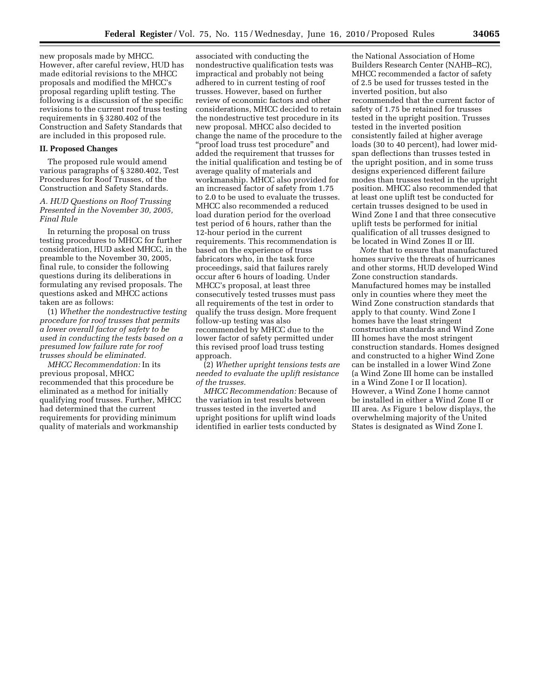new proposals made by MHCC. However, after careful review, HUD has made editorial revisions to the MHCC proposals and modified the MHCC's proposal regarding uplift testing. The following is a discussion of the specific revisions to the current roof truss testing requirements in § 3280.402 of the Construction and Safety Standards that are included in this proposed rule.

### **II. Proposed Changes**

The proposed rule would amend various paragraphs of § 3280.402, Test Procedures for Roof Trusses, of the Construction and Safety Standards.

#### *A. HUD Questions on Roof Trussing Presented in the November 30, 2005, Final Rule*

In returning the proposal on truss testing procedures to MHCC for further consideration, HUD asked MHCC, in the preamble to the November 30, 2005, final rule, to consider the following questions during its deliberations in formulating any revised proposals. The questions asked and MHCC actions taken are as follows:

(1) *Whether the nondestructive testing procedure for roof trusses that permits a lower overall factor of safety to be used in conducting the tests based on a presumed low failure rate for roof trusses should be eliminated.* 

*MHCC Recommendation:* In its previous proposal, MHCC recommended that this procedure be eliminated as a method for initially qualifying roof trusses. Further, MHCC had determined that the current requirements for providing minimum quality of materials and workmanship

associated with conducting the nondestructive qualification tests was impractical and probably not being adhered to in current testing of roof trusses. However, based on further review of economic factors and other considerations, MHCC decided to retain the nondestructive test procedure in its new proposal. MHCC also decided to change the name of the procedure to the ''proof load truss test procedure'' and added the requirement that trusses for the initial qualification and testing be of average quality of materials and workmanship. MHCC also provided for an increased factor of safety from 1.75 to 2.0 to be used to evaluate the trusses. MHCC also recommended a reduced load duration period for the overload test period of 6 hours, rather than the 12-hour period in the current requirements. This recommendation is based on the experience of truss fabricators who, in the task force proceedings, said that failures rarely occur after 6 hours of loading. Under MHCC's proposal, at least three consecutively tested trusses must pass all requirements of the test in order to qualify the truss design. More frequent follow-up testing was also recommended by MHCC due to the lower factor of safety permitted under this revised proof load truss testing approach.

(2) *Whether upright tensions tests are needed to evaluate the uplift resistance of the trusses.* 

*MHCC Recommendation:* Because of the variation in test results between trusses tested in the inverted and upright positions for uplift wind loads identified in earlier tests conducted by

the National Association of Home Builders Research Center (NAHB–RC), MHCC recommended a factor of safety of 2.5 be used for trusses tested in the inverted position, but also recommended that the current factor of safety of 1.75 be retained for trusses tested in the upright position. Trusses tested in the inverted position consistently failed at higher average loads (30 to 40 percent), had lower midspan deflections than trusses tested in the upright position, and in some truss designs experienced different failure modes than trusses tested in the upright position. MHCC also recommended that at least one uplift test be conducted for certain trusses designed to be used in Wind Zone I and that three consecutive uplift tests be performed for initial qualification of all trusses designed to be located in Wind Zones II or III.

*Note* that to ensure that manufactured homes survive the threats of hurricanes and other storms, HUD developed Wind Zone construction standards. Manufactured homes may be installed only in counties where they meet the Wind Zone construction standards that apply to that county. Wind Zone I homes have the least stringent construction standards and Wind Zone III homes have the most stringent construction standards. Homes designed and constructed to a higher Wind Zone can be installed in a lower Wind Zone (a Wind Zone III home can be installed in a Wind Zone I or II location). However, a Wind Zone I home cannot be installed in either a Wind Zone II or III area. As Figure 1 below displays, the overwhelming majority of the United States is designated as Wind Zone I.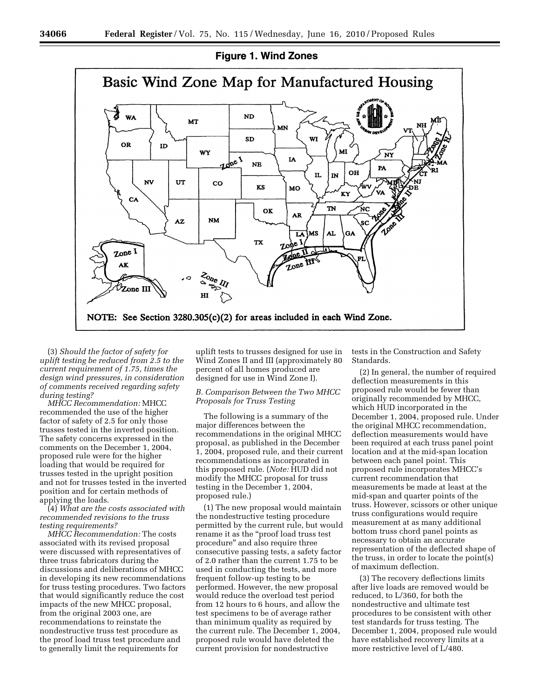

(3) *Should the factor of safety for uplift testing be reduced from 2.5 to the current requirement of 1.75, times the design wind pressures, in consideration of comments received regarding safety during testing?* 

*MHCC Recommendation:* MHCC recommended the use of the higher factor of safety of 2.5 for only those trusses tested in the inverted position. The safety concerns expressed in the comments on the December 1, 2004, proposed rule were for the higher loading that would be required for trusses tested in the upright position and not for trusses tested in the inverted position and for certain methods of applying the loads.

(4) *What are the costs associated with recommended revisions to the truss testing requirements?* 

*MHCC Recommendation:* The costs associated with its revised proposal were discussed with representatives of three truss fabricators during the discussions and deliberations of MHCC in developing its new recommendations for truss testing procedures. Two factors that would significantly reduce the cost impacts of the new MHCC proposal, from the original 2003 one, are recommendations to reinstate the nondestructive truss test procedure as the proof load truss test procedure and to generally limit the requirements for

uplift tests to trusses designed for use in Wind Zones II and III (approximately 80 percent of all homes produced are designed for use in Wind Zone I).

## *B. Comparison Between the Two MHCC Proposals for Truss Testing*

The following is a summary of the major differences between the recommendations in the original MHCC proposal, as published in the December 1, 2004, proposed rule, and their current recommendations as incorporated in this proposed rule. (*Note:* HUD did not modify the MHCC proposal for truss testing in the December 1, 2004, proposed rule.)

(1) The new proposal would maintain the nondestructive testing procedure permitted by the current rule, but would rename it as the ''proof load truss test procedure'' and also require three consecutive passing tests, a safety factor of 2.0 rather than the current 1.75 to be used in conducting the tests, and more frequent follow-up testing to be performed. However, the new proposal would reduce the overload test period from 12 hours to 6 hours, and allow the test specimens to be of average rather than minimum quality as required by the current rule. The December 1, 2004, proposed rule would have deleted the current provision for nondestructive

tests in the Construction and Safety Standards.

(2) In general, the number of required deflection measurements in this proposed rule would be fewer than originally recommended by MHCC, which HUD incorporated in the December 1, 2004, proposed rule. Under the original MHCC recommendation, deflection measurements would have been required at each truss panel point location and at the mid-span location between each panel point. This proposed rule incorporates MHCC's current recommendation that measurements be made at least at the mid-span and quarter points of the truss. However, scissors or other unique truss configurations would require measurement at as many additional bottom truss chord panel points as necessary to obtain an accurate representation of the deflected shape of the truss, in order to locate the point(s) of maximum deflection.

(3) The recovery deflections limits after live loads are removed would be reduced, to L/360, for both the nondestructive and ultimate test procedures to be consistent with other test standards for truss testing. The December 1, 2004, proposed rule would have established recovery limits at a more restrictive level of L/480.

# **Figure 1. Wind Zones**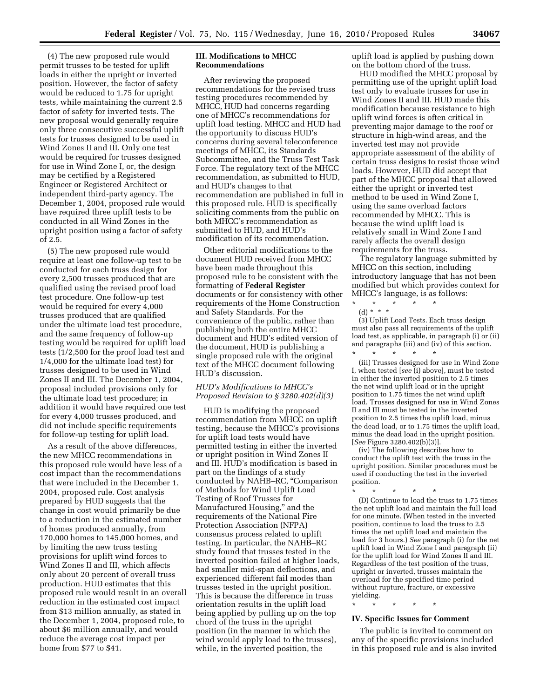(4) The new proposed rule would permit trusses to be tested for uplift loads in either the upright or inverted position. However, the factor of safety would be reduced to 1.75 for upright tests, while maintaining the current 2.5 factor of safety for inverted tests. The new proposal would generally require only three consecutive successful uplift tests for trusses designed to be used in Wind Zones II and III. Only one test would be required for trusses designed for use in Wind Zone I, or, the design may be certified by a Registered Engineer or Registered Architect or independent third-party agency. The December 1, 2004, proposed rule would have required three uplift tests to be conducted in all Wind Zones in the upright position using a factor of safety of 2.5.

(5) The new proposed rule would require at least one follow-up test to be conducted for each truss design for every 2,500 trusses produced that are qualified using the revised proof load test procedure. One follow-up test would be required for every 4,000 trusses produced that are qualified under the ultimate load test procedure, and the same frequency of follow-up testing would be required for uplift load tests (1/2,500 for the proof load test and 1/4,000 for the ultimate load test) for trusses designed to be used in Wind Zones II and III. The December 1, 2004, proposal included provisions only for the ultimate load test procedure; in addition it would have required one test for every 4,000 trusses produced, and did not include specific requirements for follow-up testing for uplift load.

As a result of the above differences, the new MHCC recommendations in this proposed rule would have less of a cost impact than the recommendations that were included in the December 1, 2004, proposed rule. Cost analysis prepared by HUD suggests that the change in cost would primarily be due to a reduction in the estimated number of homes produced annually, from 170,000 homes to 145,000 homes, and by limiting the new truss testing provisions for uplift wind forces to Wind Zones II and III, which affects only about 20 percent of overall truss production. HUD estimates that this proposed rule would result in an overall reduction in the estimated cost impact from \$13 million annually, as stated in the December 1, 2004, proposed rule, to about \$6 million annually, and would reduce the average cost impact per home from \$77 to \$41.

## **III. Modifications to MHCC Recommendations**

After reviewing the proposed recommendations for the revised truss testing procedures recommended by MHCC, HUD had concerns regarding one of MHCC's recommendations for uplift load testing. MHCC and HUD had the opportunity to discuss HUD's concerns during several teleconference meetings of MHCC, its Standards Subcommittee, and the Truss Test Task Force. The regulatory text of the MHCC recommendation, as submitted to HUD, and HUD's changes to that recommendation are published in full in this proposed rule. HUD is specifically soliciting comments from the public on both MHCC's recommendation as submitted to HUD, and HUD's modification of its recommendation.

Other editorial modifications to the document HUD received from MHCC have been made throughout this proposed rule to be consistent with the formatting of **Federal Register**  documents or for consistency with other requirements of the Home Construction and Safety Standards. For the convenience of the public, rather than publishing both the entire MHCC document and HUD's edited version of the document, HUD is publishing a single proposed rule with the original text of the MHCC document following HUD's discussion.

# *HUD's Modifications to MHCC's Proposed Revision to § 3280.402(d)(3)*

HUD is modifying the proposed recommendation from MHCC on uplift testing, because the MHCC's provisions for uplift load tests would have permitted testing in either the inverted or upright position in Wind Zones II and III. HUD's modification is based in part on the findings of a study conducted by NAHB–RC, ''Comparison of Methods for Wind Uplift Load Testing of Roof Trusses for Manufactured Housing,'' and the requirements of the National Fire Protection Association (NFPA) consensus process related to uplift testing. In particular, the NAHB–RC study found that trusses tested in the inverted position failed at higher loads, had smaller mid-span deflections, and experienced different fail modes than trusses tested in the upright position. This is because the difference in truss orientation results in the uplift load being applied by pulling up on the top chord of the truss in the upright position (in the manner in which the wind would apply load to the trusses), while, in the inverted position, the

uplift load is applied by pushing down on the bottom chord of the truss.

HUD modified the MHCC proposal by permitting use of the upright uplift load test only to evaluate trusses for use in Wind Zones II and III. HUD made this modification because resistance to high uplift wind forces is often critical in preventing major damage to the roof or structure in high-wind areas, and the inverted test may not provide appropriate assessment of the ability of certain truss designs to resist those wind loads. However, HUD did accept that part of the MHCC proposal that allowed either the upright or inverted test method to be used in Wind Zone I, using the same overload factors recommended by MHCC. This is because the wind uplift load is relatively small in Wind Zone I and rarely affects the overall design requirements for the truss.

The regulatory language submitted by MHCC on this section, including introductory language that has not been modified but which provides context for MHCC's language, is as follows:

- \* \* \* \* \*
- (d) \* \* \*

(3) Uplift Load Tests. Each truss design must also pass all requirements of the uplift load test, as applicable, in paragraph (i) or (ii) and paragraphs (iii) and (iv) of this section.

\* \* \* \* \* (iii) Trusses designed for use in Wind Zone I, when tested [*see* (i) above], must be tested in either the inverted position to 2.5 times the net wind uplift load or in the upright position to 1.75 times the net wind uplift load. Trusses designed for use in Wind Zones II and III must be tested in the inverted position to 2.5 times the uplift load, minus the dead load, or to 1.75 times the uplift load, minus the dead load in the upright position. [*See* Figure 3280.402(b)(3)].

(iv) The following describes how to conduct the uplift test with the truss in the upright position. Similar procedures must be used if conducting the test in the inverted position.

\* \* \* \* \*

(D) Continue to load the truss to 1.75 times the net uplift load and maintain the full load for one minute. (When tested in the inverted position, continue to load the truss to 2.5 times the net uplift load and maintain the load for 3 hours.) *See* paragraph (i) for the net uplift load in Wind Zone I and paragraph (ii) for the uplift load for Wind Zones II and III. Regardless of the test position of the truss, upright or inverted, trusses maintain the overload for the specified time period without rupture, fracture, or excessive yielding.

\* \* \* \* \*

#### **IV. Specific Issues for Comment**

The public is invited to comment on any of the specific provisions included in this proposed rule and is also invited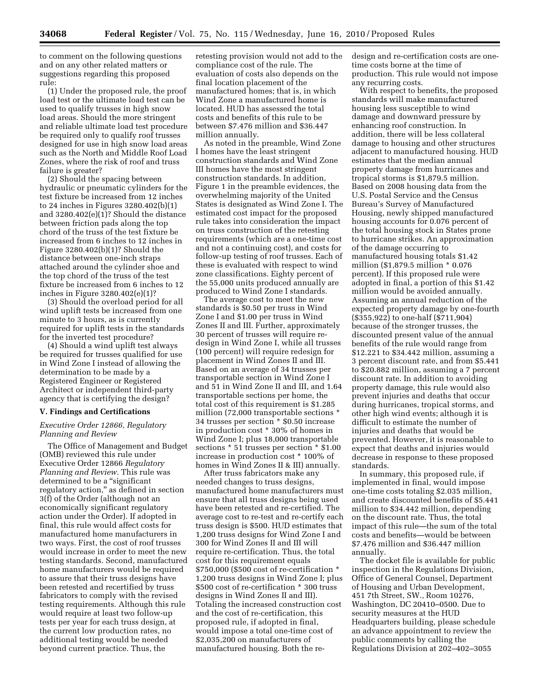to comment on the following questions and on any other related matters or suggestions regarding this proposed rule:

(1) Under the proposed rule, the proof load test or the ultimate load test can be used to qualify trusses in high snow load areas. Should the more stringent and reliable ultimate load test procedure be required only to qualify roof trusses designed for use in high snow load areas such as the North and Middle Roof Load Zones, where the risk of roof and truss failure is greater?

(2) Should the spacing between hydraulic or pneumatic cylinders for the test fixture be increased from 12 inches to 24 inches in Figures 3280.402(b)(1) and 3280.402(e)(1)? Should the distance between friction pads along the top chord of the truss of the test fixture be increased from 6 inches to 12 inches in Figure 3280.402(b)(1)? Should the distance between one-inch straps attached around the cylinder shoe and the top chord of the truss of the test fixture be increased from 6 inches to 12 inches in Figure 3280.402(e)(1)?

(3) Should the overload period for all wind uplift tests be increased from one minute to 3 hours, as is currently required for uplift tests in the standards for the inverted test procedure?

(4) Should a wind uplift test always be required for trusses qualified for use in Wind Zone I instead of allowing the determination to be made by a Registered Engineer or Registered Architect or independent third-party agency that is certifying the design?

#### **V. Findings and Certifications**

## *Executive Order 12866, Regulatory Planning and Review*

The Office of Management and Budget (OMB) reviewed this rule under Executive Order 12866 *Regulatory Planning and Review.* This rule was determined to be a "significant" regulatory action," as defined in section 3(f) of the Order (although not an economically significant regulatory action under the Order). If adopted in final, this rule would affect costs for manufactured home manufacturers in two ways. First, the cost of roof trusses would increase in order to meet the new testing standards. Second, manufactured home manufacturers would be required to assure that their truss designs have been retested and recertified by truss fabricators to comply with the revised testing requirements. Although this rule would require at least two follow-up tests per year for each truss design, at the current low production rates, no additional testing would be needed beyond current practice. Thus, the

retesting provision would not add to the compliance cost of the rule. The evaluation of costs also depends on the final location placement of the manufactured homes; that is, in which Wind Zone a manufactured home is located. HUD has assessed the total costs and benefits of this rule to be between \$7.476 million and \$36.447 million annually.

As noted in the preamble, Wind Zone I homes have the least stringent construction standards and Wind Zone III homes have the most stringent construction standards. In addition, Figure 1 in the preamble evidences, the overwhelming majority of the United States is designated as Wind Zone I. The estimated cost impact for the proposed rule takes into consideration the impact on truss construction of the retesting requirements (which are a one-time cost and not a continuing cost), and costs for follow-up testing of roof trusses. Each of these is evaluated with respect to wind zone classifications. Eighty percent of the 55,000 units produced annually are produced to Wind Zone I standards.

The average cost to meet the new standards is \$0.50 per truss in Wind Zone I and \$1.00 per truss in Wind Zones II and III. Further, approximately 30 percent of trusses will require redesign in Wind Zone I, while all trusses (100 percent) will require redesign for placement in Wind Zones II and III. Based on an average of 34 trusses per transportable section in Wind Zone I and 51 in Wind Zone II and III, and 1.64 transportable sections per home, the total cost of this requirement is \$1.285 million (72,000 transportable sections \* 34 trusses per section \* \$0.50 increase in production cost \* 30% of homes in Wind Zone I; plus 18,000 transportable sections \* 51 trusses per section \* \$1.00 increase in production cost \* 100% of homes in Wind Zones II & III) annually.

After truss fabricators make any needed changes to truss designs, manufactured home manufacturers must ensure that all truss designs being used have been retested and re-certified. The average cost to re-test and re-certify each truss design is \$500. HUD estimates that 1,200 truss designs for Wind Zone I and 300 for Wind Zones II and III will require re-certification. Thus, the total cost for this requirement equals \$750,000 (\$500 cost of re-certification \* 1,200 truss designs in Wind Zone I; plus \$500 cost of re-certification \* 300 truss designs in Wind Zones II and III). Totaling the increased construction cost and the cost of re-certification, this proposed rule, if adopted in final, would impose a total one-time cost of \$2,035,200 on manufacturers of manufactured housing. Both the redesign and re-certification costs are onetime costs borne at the time of production. This rule would not impose any recurring costs.

With respect to benefits, the proposed standards will make manufactured housing less susceptible to wind damage and downward pressure by enhancing roof construction. In addition, there will be less collateral damage to housing and other structures adjacent to manufactured housing. HUD estimates that the median annual property damage from hurricanes and tropical storms is \$1,879.5 million. Based on 2008 housing data from the U.S. Postal Service and the Census Bureau's Survey of Manufactured Housing, newly shipped manufactured housing accounts for 0.076 percent of the total housing stock in States prone to hurricane strikes. An approximation of the damage occurring to manufactured housing totals \$1.42 million (\$1,879.5 million \* 0.076 percent). If this proposed rule were adopted in final, a portion of this \$1.42 million would be avoided annually. Assuming an annual reduction of the expected property damage by one-fourth (\$355,922) to one-half (\$711,904) because of the stronger trusses, the discounted present value of the annual benefits of the rule would range from \$12.221 to \$34.442 million, assuming a 3 percent discount rate, and from \$5.441 to \$20.882 million, assuming a 7 percent discount rate. In addition to avoiding property damage, this rule would also prevent injuries and deaths that occur during hurricanes, tropical storms, and other high wind events; although it is difficult to estimate the number of injuries and deaths that would be prevented. However, it is reasonable to expect that deaths and injuries would decrease in response to these proposed standards.

In summary, this proposed rule, if implemented in final, would impose one-time costs totaling \$2.035 million, and create discounted benefits of \$5.441 million to \$34.442 million, depending on the discount rate. Thus, the total impact of this rule—the sum of the total costs and benefits—would be between \$7.476 million and \$36.447 million annually.

The docket file is available for public inspection in the Regulations Division, Office of General Counsel, Department of Housing and Urban Development, 451 7th Street, SW., Room 10276, Washington, DC 20410–0500. Due to security measures at the HUD Headquarters building, please schedule an advance appointment to review the public comments by calling the Regulations Division at 202–402–3055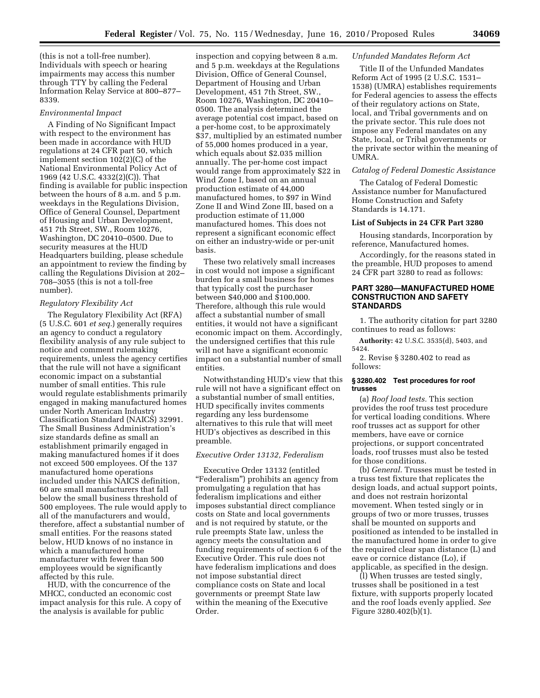(this is not a toll-free number). Individuals with speech or hearing impairments may access this number through TTY by calling the Federal Information Relay Service at 800–877– 8339.

#### *Environmental Impact*

A Finding of No Significant Impact with respect to the environment has been made in accordance with HUD regulations at 24 CFR part 50, which implement section 102(2)(C) of the National Environmental Policy Act of 1969 (42 U.S.C. 4332(2)(C)). That finding is available for public inspection between the hours of 8 a.m. and 5 p.m. weekdays in the Regulations Division, Office of General Counsel, Department of Housing and Urban Development, 451 7th Street, SW., Room 10276, Washington, DC 20410–0500. Due to security measures at the HUD Headquarters building, please schedule an appointment to review the finding by calling the Regulations Division at 202– 708–3055 (this is not a toll-free number).

#### *Regulatory Flexibility Act*

The Regulatory Flexibility Act (RFA) (5 U.S.C. 601 *et seq.*) generally requires an agency to conduct a regulatory flexibility analysis of any rule subject to notice and comment rulemaking requirements, unless the agency certifies that the rule will not have a significant economic impact on a substantial number of small entities. This rule would regulate establishments primarily engaged in making manufactured homes under North American Industry Classification Standard (NAICS) 32991. The Small Business Administration's size standards define as small an establishment primarily engaged in making manufactured homes if it does not exceed 500 employees. Of the 137 manufactured home operations included under this NAICS definition, 60 are small manufacturers that fall below the small business threshold of 500 employees. The rule would apply to all of the manufacturers and would, therefore, affect a substantial number of small entities. For the reasons stated below, HUD knows of no instance in which a manufactured home manufacturer with fewer than 500 employees would be significantly affected by this rule.

HUD, with the concurrence of the MHCC, conducted an economic cost impact analysis for this rule. A copy of the analysis is available for public

inspection and copying between 8 a.m. and 5 p.m. weekdays at the Regulations Division, Office of General Counsel, Department of Housing and Urban Development, 451 7th Street, SW., Room 10276, Washington, DC 20410– 0500. The analysis determined the average potential cost impact, based on a per-home cost, to be approximately \$37, multiplied by an estimated number of 55,000 homes produced in a year, which equals about \$2.035 million annually. The per-home cost impact would range from approximately \$22 in Wind Zone I, based on an annual production estimate of 44,000 manufactured homes, to \$97 in Wind Zone II and Wind Zone III, based on a production estimate of 11,000 manufactured homes. This does not represent a significant economic effect on either an industry-wide or per-unit basis.

These two relatively small increases in cost would not impose a significant burden for a small business for homes that typically cost the purchaser between \$40,000 and \$100,000. Therefore, although this rule would affect a substantial number of small entities, it would not have a significant economic impact on them. Accordingly, the undersigned certifies that this rule will not have a significant economic impact on a substantial number of small entities.

Notwithstanding HUD's view that this rule will not have a significant effect on a substantial number of small entities, HUD specifically invites comments regarding any less burdensome alternatives to this rule that will meet HUD's objectives as described in this preamble.

#### *Executive Order 13132, Federalism*

Executive Order 13132 (entitled ''Federalism'') prohibits an agency from promulgating a regulation that has federalism implications and either imposes substantial direct compliance costs on State and local governments and is not required by statute, or the rule preempts State law, unless the agency meets the consultation and funding requirements of section 6 of the Executive Order. This rule does not have federalism implications and does not impose substantial direct compliance costs on State and local governments or preempt State law within the meaning of the Executive Order.

#### *Unfunded Mandates Reform Act*

Title II of the Unfunded Mandates Reform Act of 1995 (2 U.S.C. 1531– 1538) (UMRA) establishes requirements for Federal agencies to assess the effects of their regulatory actions on State, local, and Tribal governments and on the private sector. This rule does not impose any Federal mandates on any State, local, or Tribal governments or the private sector within the meaning of UMRA.

## *Catalog of Federal Domestic Assistance*

The Catalog of Federal Domestic Assistance number for Manufactured Home Construction and Safety Standards is 14.171.

#### **List of Subjects in 24 CFR Part 3280**

Housing standards, Incorporation by reference, Manufactured homes.

Accordingly, for the reasons stated in the preamble, HUD proposes to amend 24 CFR part 3280 to read as follows:

#### **PART 3280—MANUFACTURED HOME CONSTRUCTION AND SAFETY STANDARDS**

1. The authority citation for part 3280 continues to read as follows:

**Authority:** 42 U.S.C. 3535(d), 5403, and 5424.

2. Revise § 3280.402 to read as follows:

#### **§ 3280.402 Test procedures for roof trusses**

(a) *Roof load tests.* This section provides the roof truss test procedure for vertical loading conditions. Where roof trusses act as support for other members, have eave or cornice projections, or support concentrated loads, roof trusses must also be tested for those conditions.

(b) *General.* Trusses must be tested in a truss test fixture that replicates the design loads, and actual support points, and does not restrain horizontal movement. When tested singly or in groups of two or more trusses, trusses shall be mounted on supports and positioned as intended to be installed in the manufactured home in order to give the required clear span distance (L) and eave or cornice distance (Lo), if applicable, as specified in the design.

(l) When trusses are tested singly, trusses shall be positioned in a test fixture, with supports properly located and the roof loads evenly applied. *See*  Figure 3280.402(b)(1).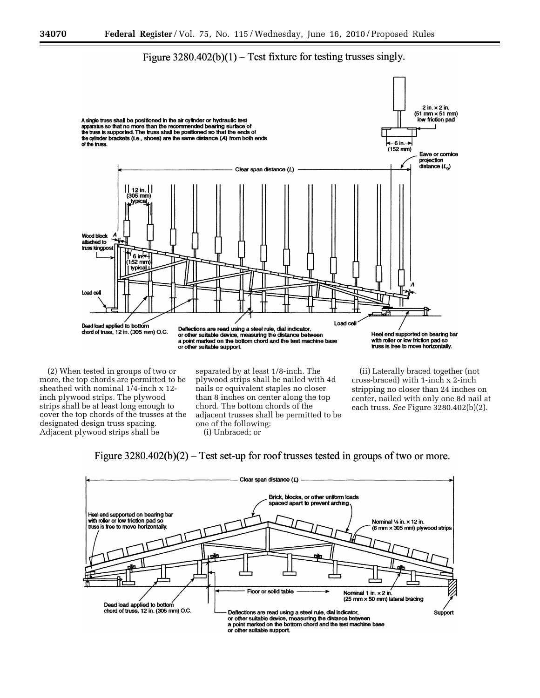# Figure  $3280.402(b)(1)$  – Test fixture for testing trusses singly.



more, the top chords are permitted to be sheathed with nominal 1/4-inch x 12 inch plywood strips. The plywood strips shall be at least long enough to cover the top chords of the trusses at the designated design truss spacing. Adjacent plywood strips shall be

plywood strips shall be nailed with 4d nails or equivalent staples no closer than 8 inches on center along the top chord. The bottom chords of the adjacent trusses shall be permitted to be one of the following:

(i) Unbraced; or

cross-braced) with 1-inch x 2-inch stripping no closer than 24 inches on center, nailed with only one 8d nail at each truss. *See* Figure 3280.402(b)(2).



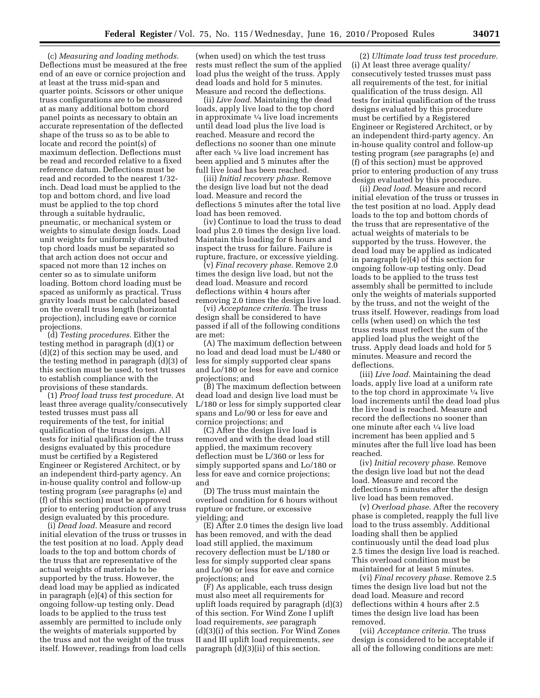(c) *Measuring and loading methods.*  Deflections must be measured at the free end of an eave or cornice projection and at least at the truss mid-span and quarter points. Scissors or other unique truss configurations are to be measured at as many additional bottom chord panel points as necessary to obtain an accurate representation of the deflected shape of the truss so as to be able to locate and record the point(s) of maximum deflection. Deflections must be read and recorded relative to a fixed reference datum. Deflections must be read and recorded to the nearest 1/32 inch. Dead load must be applied to the top and bottom chord, and live load must be applied to the top chord through a suitable hydraulic, pneumatic, or mechanical system or weights to simulate design loads. Load unit weights for uniformly distributed top chord loads must be separated so that arch action does not occur and spaced not more than 12 inches on center so as to simulate uniform loading. Bottom chord loading must be spaced as uniformly as practical. Truss gravity loads must be calculated based on the overall truss length (horizontal projection), including eave or cornice projections.

(d) *Testing procedures.* Either the testing method in paragraph (d)(1) or (d)(2) of this section may be used, and the testing method in paragraph (d)(3) of this section must be used, to test trusses to establish compliance with the provisions of these standards.

(1) *Proof load truss test procedure.* At least three average quality/consecutively tested trusses must pass all requirements of the test, for initial qualification of the truss design. All tests for initial qualification of the truss designs evaluated by this procedure must be certified by a Registered Engineer or Registered Architect, or by an independent third-party agency. An in-house quality control and follow-up testing program (*see* paragraphs (e) and (f) of this section) must be approved prior to entering production of any truss design evaluated by this procedure.

(i) *Dead load.* Measure and record initial elevation of the truss or trusses in the test position at no load. Apply dead loads to the top and bottom chords of the truss that are representative of the actual weights of materials to be supported by the truss. However, the dead load may be applied as indicated in paragraph (e)(4) of this section for ongoing follow-up testing only. Dead loads to be applied to the truss test assembly are permitted to include only the weights of materials supported by the truss and not the weight of the truss itself. However, readings from load cells

(when used) on which the test truss rests must reflect the sum of the applied load plus the weight of the truss. Apply dead loads and hold for 5 minutes. Measure and record the deflections.

(ii) *Live load.* Maintaining the dead loads, apply live load to the top chord in approximate 1⁄4 live load increments until dead load plus the live load is reached. Measure and record the deflections no sooner than one minute after each 1⁄4 live load increment has been applied and 5 minutes after the full live load has been reached.

(iii) *Initial recovery phase.* Remove the design live load but not the dead load. Measure and record the deflections 5 minutes after the total live load has been removed.

(iv) Continue to load the truss to dead load plus 2.0 times the design live load. Maintain this loading for 6 hours and inspect the truss for failure. Failure is rupture, fracture, or excessive yielding.

(v) *Final recovery phase.* Remove 2.0 times the design live load, but not the dead load. Measure and record deflections within 4 hours after removing 2.0 times the design live load.

(vi) *Acceptance criteria.* The truss design shall be considered to have passed if all of the following conditions are met:

(A) The maximum deflection between no load and dead load must be L/480 or less for simply supported clear spans and Lo/180 or less for eave and cornice projections; and

(B) The maximum deflection between dead load and design live load must be L/180 or less for simply supported clear spans and Lo/90 or less for eave and cornice projections; and

(C) After the design live load is removed and with the dead load still applied, the maximum recovery deflection must be L/360 or less for simply supported spans and Lo/180 or less for eave and cornice projections; and

(D) The truss must maintain the overload condition for 6 hours without rupture or fracture, or excessive yielding; and

(E) After 2.0 times the design live load has been removed, and with the dead load still applied, the maximum recovery deflection must be L/180 or less for simply supported clear spans and Lo/90 or less for eave and cornice projections; and

(F) As applicable, each truss design must also meet all requirements for uplift loads required by paragraph (d)(3) of this section. For Wind Zone I uplift load requirements, *see* paragraph (d)(3)(i) of this section. For Wind Zones II and III uplift load requirements, *see*  paragraph (d)(3)(ii) of this section.

(2) *Ultimate load truss test procedure.*  (i) At least three average quality/ consecutively tested trusses must pass all requirements of the test, for initial qualification of the truss design. All tests for initial qualification of the truss designs evaluated by this procedure must be certified by a Registered Engineer or Registered Architect, or by an independent third-party agency. An in-house quality control and follow-up testing program (*see* paragraphs (e) and (f) of this section) must be approved prior to entering production of any truss design evaluated by this procedure.

(ii) *Dead load.* Measure and record initial elevation of the truss or trusses in the test position at no load. Apply dead loads to the top and bottom chords of the truss that are representative of the actual weights of materials to be supported by the truss. However, the dead load may be applied as indicated in paragraph (e)(4) of this section for ongoing follow-up testing only. Dead loads to be applied to the truss test assembly shall be permitted to include only the weights of materials supported by the truss, and not the weight of the truss itself. However, readings from load cells (when used) on which the test truss rests must reflect the sum of the applied load plus the weight of the truss. Apply dead loads and hold for 5 minutes. Measure and record the deflections.

(iii) *Live load.* Maintaining the dead loads, apply live load at a uniform rate to the top chord in approximate 1⁄4 live load increments until the dead load plus the live load is reached. Measure and record the deflections no sooner than one minute after each 1⁄4 live load increment has been applied and 5 minutes after the full live load has been reached.

(iv) *Initial recovery phase.* Remove the design live load but not the dead load. Measure and record the deflections 5 minutes after the design live load has been removed.

(v) *Overload phase.* After the recovery phase is completed, reapply the full live load to the truss assembly. Additional loading shall then be applied continuously until the dead load plus 2.5 times the design live load is reached. This overload condition must be maintained for at least 5 minutes.

(vi) *Final recovery phase.* Remove 2.5 times the design live load but not the dead load. Measure and record deflections within 4 hours after 2.5 times the design live load has been removed.

(vii) *Acceptance criteria.* The truss design is considered to be acceptable if all of the following conditions are met: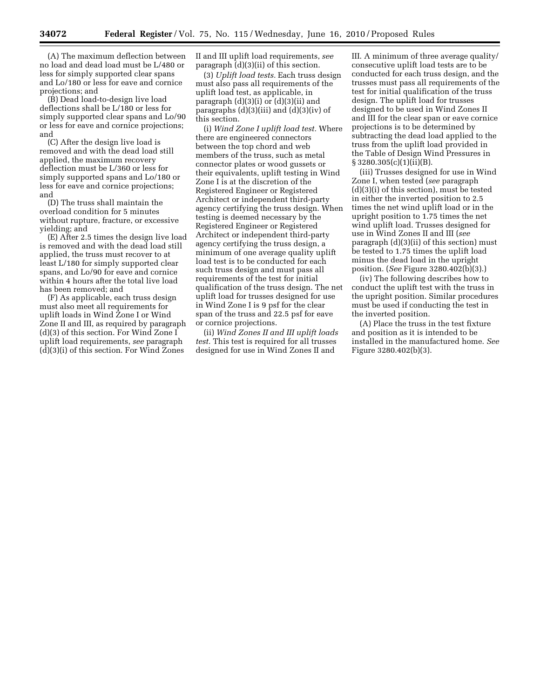(A) The maximum deflection between no load and dead load must be L/480 or less for simply supported clear spans and Lo/180 or less for eave and cornice projections; and

(B) Dead load-to-design live load deflections shall be L/180 or less for simply supported clear spans and Lo/90 or less for eave and cornice projections; and

(C) After the design live load is removed and with the dead load still applied, the maximum recovery deflection must be L/360 or less for simply supported spans and Lo/180 or less for eave and cornice projections; and

(D) The truss shall maintain the overload condition for 5 minutes without rupture, fracture, or excessive yielding; and

(E) After 2.5 times the design live load is removed and with the dead load still applied, the truss must recover to at least L/180 for simply supported clear spans, and Lo/90 for eave and cornice within 4 hours after the total live load has been removed; and

(F) As applicable, each truss design must also meet all requirements for uplift loads in Wind Zone I or Wind Zone II and III, as required by paragraph (d)(3) of this section. For Wind Zone I uplift load requirements, *see* paragraph (d)(3)(i) of this section. For Wind Zones

II and III uplift load requirements, *see*  paragraph (d)(3)(ii) of this section.

(3) *Uplift load tests.* Each truss design must also pass all requirements of the uplift load test, as applicable, in paragraph (d)(3)(i) or (d)(3)(ii) and paragraphs  $(d)(3)(iii)$  and  $(d)(3)(iv)$  of this section.

(i) *Wind Zone I uplift load test.* Where there are engineered connectors between the top chord and web members of the truss, such as metal connector plates or wood gussets or their equivalents, uplift testing in Wind Zone I is at the discretion of the Registered Engineer or Registered Architect or independent third-party agency certifying the truss design. When testing is deemed necessary by the Registered Engineer or Registered Architect or independent third-party agency certifying the truss design, a minimum of one average quality uplift load test is to be conducted for each such truss design and must pass all requirements of the test for initial qualification of the truss design. The net uplift load for trusses designed for use in Wind Zone I is 9 psf for the clear span of the truss and 22.5 psf for eave or cornice projections.

(ii) *Wind Zones II and III uplift loads test.* This test is required for all trusses designed for use in Wind Zones II and

III. A minimum of three average quality/ consecutive uplift load tests are to be conducted for each truss design, and the trusses must pass all requirements of the test for initial qualification of the truss design. The uplift load for trusses designed to be used in Wind Zones II and III for the clear span or eave cornice projections is to be determined by subtracting the dead load applied to the truss from the uplift load provided in the Table of Design Wind Pressures in  $\S 3280.305(c)(1)(ii)(B)$ .

(iii) Trusses designed for use in Wind Zone I, when tested (*see* paragraph (d)(3)(i) of this section), must be tested in either the inverted position to 2.5 times the net wind uplift load or in the upright position to 1.75 times the net wind uplift load. Trusses designed for use in Wind Zones II and III (*see*  paragraph (d)(3)(ii) of this section) must be tested to 1.75 times the uplift load minus the dead load in the upright position. (*See* Figure 3280.402(b)(3).)

(iv) The following describes how to conduct the uplift test with the truss in the upright position. Similar procedures must be used if conducting the test in the inverted position.

(A) Place the truss in the test fixture and position as it is intended to be installed in the manufactured home. *See*  Figure 3280.402(b)(3).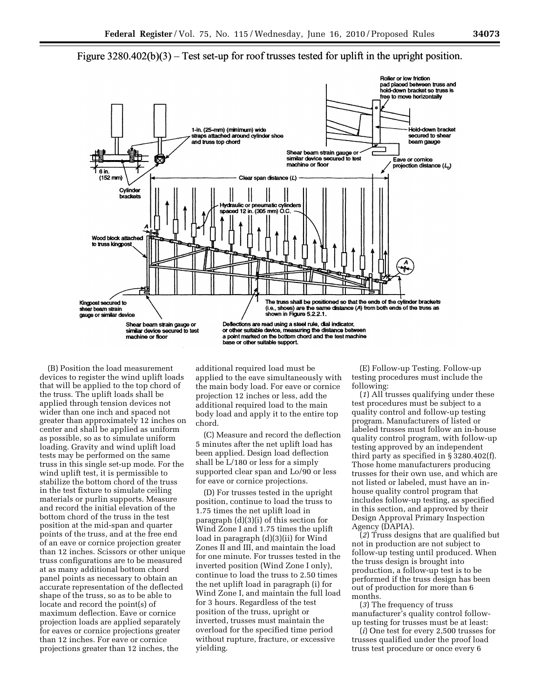

Figure  $3280.402(b)(3)$  – Test set-up for roof trusses tested for uplift in the upright position.

(B) Position the load measurement devices to register the wind uplift loads that will be applied to the top chord of the truss. The uplift loads shall be applied through tension devices not wider than one inch and spaced not greater than approximately 12 inches on center and shall be applied as uniform as possible, so as to simulate uniform loading. Gravity and wind uplift load tests may be performed on the same truss in this single set-up mode. For the wind uplift test, it is permissible to stabilize the bottom chord of the truss in the test fixture to simulate ceiling materials or purlin supports. Measure and record the initial elevation of the bottom chord of the truss in the test position at the mid-span and quarter points of the truss, and at the free end of an eave or cornice projection greater than 12 inches. Scissors or other unique truss configurations are to be measured at as many additional bottom chord panel points as necessary to obtain an accurate representation of the deflected shape of the truss, so as to be able to locate and record the point(s) of maximum deflection. Eave or cornice projection loads are applied separately for eaves or cornice projections greater than 12 inches. For eave or cornice projections greater than 12 inches, the

additional required load must be applied to the eave simultaneously with the main body load. For eave or cornice projection 12 inches or less, add the additional required load to the main body load and apply it to the entire top chord.

(C) Measure and record the deflection 5 minutes after the net uplift load has been applied. Design load deflection shall be L/180 or less for a simply supported clear span and Lo/90 or less for eave or cornice projections.

(D) For trusses tested in the upright position, continue to load the truss to 1.75 times the net uplift load in paragraph (d)(3)(i) of this section for Wind Zone I and 1.75 times the uplift load in paragraph (d)(3)(ii) for Wind Zones II and III, and maintain the load for one minute. For trusses tested in the inverted position (Wind Zone I only), continue to load the truss to 2.50 times the net uplift load in paragraph (i) for Wind Zone I, and maintain the full load for 3 hours. Regardless of the test position of the truss, upright or inverted, trusses must maintain the overload for the specified time period without rupture, fracture, or excessive yielding.

(E) Follow-up Testing. Follow-up testing procedures must include the following:

(*1*) All trusses qualifying under these test procedures must be subject to a quality control and follow-up testing program. Manufacturers of listed or labeled trusses must follow an in-house quality control program, with follow-up testing approved by an independent third party as specified in § 3280.402(f). Those home manufacturers producing trusses for their own use, and which are not listed or labeled, must have an inhouse quality control program that includes follow-up testing, as specified in this section, and approved by their Design Approval Primary Inspection Agency (DAPIA).

(*2*) Truss designs that are qualified but not in production are not subject to follow-up testing until produced. When the truss design is brought into production, a follow-up test is to be performed if the truss design has been out of production for more than 6 months.

(*3*) The frequency of truss manufacturer's quality control followup testing for trusses must be at least:

(*i*) One test for every 2,500 trusses for trusses qualified under the proof load truss test procedure or once every 6